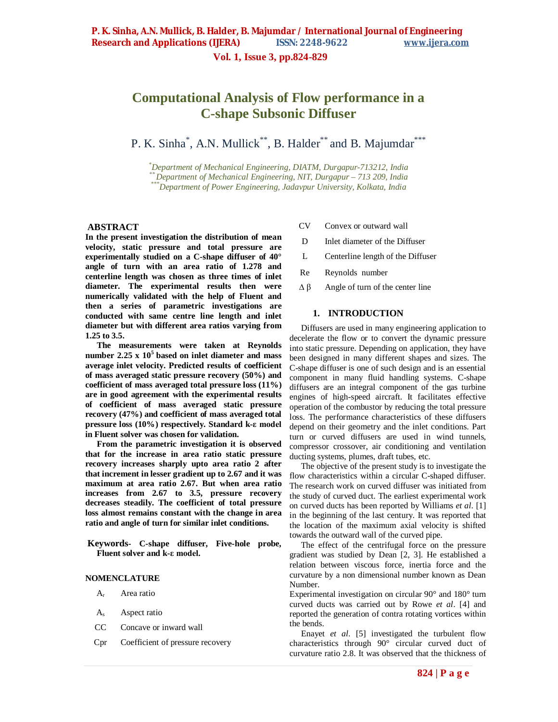**Vol. 1, Issue 3, pp.824-829**

# **Computational Analysis of Flow performance in a C-shape Subsonic Diffuser**

P. K. Sinha\*, A.N. Mullick\*\*, B. Halder\*\* and B. Majumdar\*\*\*

*\*Department of Mechanical Engineering, DIATM, Durgapur-713212, India \*\*Department of Mechanical Engineering, NIT, Durgapur – 713 209, India \*\*\*Department of Power Engineering, Jadavpur University, Kolkata, India*

# **ABSTRACT**

**In the present investigation the distribution of mean velocity, static pressure and total pressure are experimentally studied on a C-shape diffuser of 40° angle of turn with an area ratio of 1.278 and centerline length was chosen as three times of inlet diameter. The experimental results then were numerically validated with the help of Fluent and then a series of parametric investigations are conducted with same centre line length and inlet diameter but with different area ratios varying from 1.25 to 3.5.** 

**The measurements were taken at Reynolds number 2.25 x 10<sup>5</sup>based on inlet diameter and mass average inlet velocity. Predicted results of coefficient of mass averaged static pressure recovery (50%) and coefficient of mass averaged total pressure loss (11%) are in good agreement with the experimental results of coefficient of mass averaged static pressure recovery (47%) and coefficient of mass averaged total pressure loss (10%) respectively. Standard k-ε model in Fluent solver was chosen for validation.**

**From the parametric investigation it is observed that for the increase in area ratio static pressure recovery increases sharply upto area ratio 2 after that increment in lesser gradient up to 2.67 and it was maximum at area ratio 2.67. But when area ratio increases from 2.67 to 3.5, pressure recovery decreases steadily. The coefficient of total pressure loss almost remains constant with the change in area ratio and angle of turn for similar inlet conditions.**

**Keywords- C-shape diffuser, Five-hole probe, Fluent solver and k-ε model.**

#### **NOMENCLATURE**

- $A_r$  Area ratio
- $A_s$  Aspect ratio
- CC Concave or inward wall
- Cpr Coefficient of pressure recovery
- CV Convex or outward wall
- D Inlet diameter of the Diffuser
- L Centerline length of the Diffuser
- Re Reynolds number
- $Δβ$  Angle of turn of the center line

#### **1. INTRODUCTION**

Diffusers are used in many engineering application to decelerate the flow or to convert the dynamic pressure into static pressure. Depending on application, they have been designed in many different shapes and sizes. The C-shape diffuser is one of such design and is an essential component in many fluid handling systems. C-shape diffusers are an integral component of the gas turbine engines of high-speed aircraft. It facilitates effective operation of the combustor by reducing the total pressure loss. The performance characteristics of these diffusers depend on their geometry and the inlet conditions. Part turn or curved diffusers are used in wind tunnels, compressor crossover, air conditioning and ventilation ducting systems, plumes, draft tubes, etc.

The objective of the present study is to investigate the flow characteristics within a circular C-shaped diffuser. The research work on curved diffuser was initiated from the study of curved duct. The earliest experimental work on curved ducts has been reported by Williams *et al*. [1] in the beginning of the last century. It was reported that the location of the maximum axial velocity is shifted towards the outward wall of the curved pipe.

The effect of the centrifugal force on the pressure gradient was studied by Dean [2, 3]. He established a relation between viscous force, inertia force and the curvature by a non dimensional number known as Dean Number.

Experimental investigation on circular 90° and 180° turn curved ducts was carried out by Rowe *et al*. [4] and reported the generation of contra rotating vortices within the bends.

Enayet *et al*. [5] investigated the turbulent flow characteristics through 90° circular curved duct of curvature ratio 2.8. It was observed that the thickness of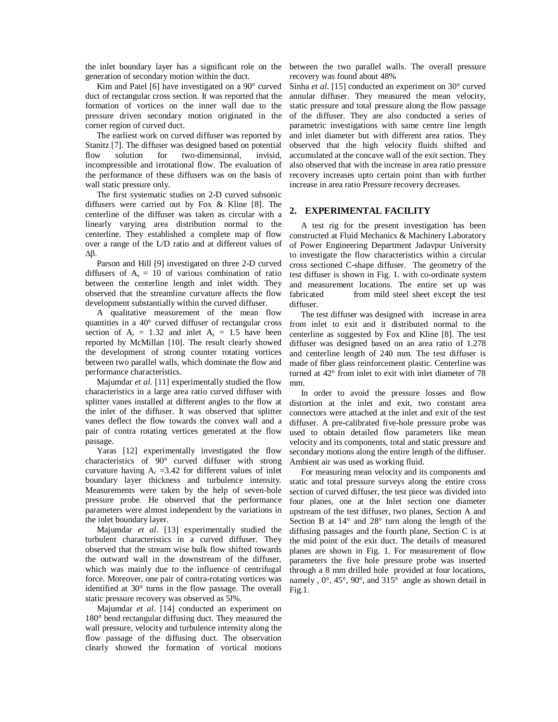the inlet boundary layer has a significant role on the generation of secondary motion within the duct.

Kim and Patel [6] have investigated on a 90° curved duct of rectangular cross section. It was reported that the formation of vortices on the inner wall due to the pressure driven secondary motion originated in the corner region of curved duct.

The earliest work on curved diffuser was reported by Stanitz [7]. The diffuser was designed based on potential flow solution for two-dimensional, invisid, incompressible and irrotational flow. The evaluation of the performance of these diffusers was on the basis of wall static pressure only.

The first systematic studies on 2-D curved subsonic diffusers were carried out by Fox & Kline [8]. The centerline of the diffuser was taken as circular with a linearly varying area distribution normal to the centerline. They established a complete map of flow over a range of the L/D ratio and at different values of ∆β.

Parson and Hill [9] investigated on three 2-D curved diffusers of  $A_s = 10$  of various combination of ratio between the centerline length and inlet width. They observed that the streamline curvature affects the flow development substantially within the curved diffuser.

A qualitative measurement of the mean flow quantities in a 40° curved diffuser of rectangular cross section of  $A_r = 1.32$  and inlet  $A_s = 1.5$  have been reported by McMillan [10]. The result clearly showed the development of strong counter rotating vortices between two parallel walls, which dominate the flow and performance characteristics.

Majumdar *et al*. [11] experimentally studied the flow characteristics in a large area ratio curved diffuser with splitter vanes installed at different angles to the flow at the inlet of the diffuser. It was observed that splitter vanes deflect the flow towards the convex wall and a pair of contra rotating vertices generated at the flow passage.

Yaras [12] experimentally investigated the flow characteristics of 90° curved diffuser with strong curvature having  $A_r = 3.42$  for different values of inlet boundary layer thickness and turbulence intensity. Measurements were taken by the help of seven-hole pressure probe. He observed that the performance parameters were almost independent by the variations in the inlet boundary layer.

Majumdar *et al*. [13] experimentally studied the turbulent characteristics in a curved diffuser. They observed that the stream wise bulk flow shifted towards the outward wall in the downstream of the diffuser, which was mainly due to the influence of centrifugal force. Moreover, one pair of contra-rotating vortices was identified at 30° turns in the flow passage. The overall static pressure recovery was observed as 5l%.

Majumdar *et al*. [14] conducted an experiment on 180° bend rectangular diffusing duct. They measured the wall pressure, velocity and turbulence intensity along the flow passage of the diffusing duct. The observation clearly showed the formation of vortical motions

between the two parallel walls. The overall pressure recovery was found about 48%

Sinha *et al*. [15] conducted an experiment on 30° curved annular diffuser. They measured the mean velocity, static pressure and total pressure along the flow passage of the diffuser. They are also conducted a series of parametric investigations with same centre line length and inlet diameter but with different area ratios. They observed that the high velocity fluids shifted and accumulated at the concave wall of the exit section. They also observed that with the increase in area ratio pressure recovery increases upto certain point than with further increase in area ratio Pressure recovery decreases.

# **2. EXPERIMENTAL FACILITY**

A test rig for the present investigation has been constructed at Fluid Mechanics & Machinery Laboratory of Power Engineering Department Jadavpur University to investigate the flow characteristics within a circular cross sectioned C-shape diffuser. The geometry of the test diffuser is shown in Fig. 1. with co-ordinate system and measurement locations. The entire set up was fabricated from mild steel sheet except the test diffuser.

The test diffuser was designed with increase in area from inlet to exit and it distributed normal to the centerline as suggested by Fox and Kline [8]. The test diffuser was designed based on an area ratio of 1.278 and centerline length of 240 mm. The test diffuser is made of fiber glass reinforcement plastic. Centerline was turned at 42° from inlet to exit with inlet diameter of 78 mm.

In order to avoid the pressure losses and flow distortion at the inlet and exit, two constant area connectors were attached at the inlet and exit of the test diffuser. A pre-calibrated five-hole pressure probe was used to obtain detailed flow parameters like mean velocity and its components, total and static pressure and secondary motions along the entire length of the diffuser. Ambient air was used as working fluid.

For measuring mean velocity and its components and static and total pressure surveys along the entire cross section of curved diffuser, the test piece was divided into four planes, one at the Inlet section one diameter upstream of the test diffuser, two planes, Section A and Section B at 14° and 28° turn along the length of the diffusing passages and the fourth plane, Section C is at the mid point of the exit duct. The details of measured planes are shown in Fig. 1. For measurement of flow parameters the five hole pressure probe was inserted through a 8 mm drilled hole provided at four locations, namely , 0°, 45°, 90°, and 315° angle as shown detail in Fig.1.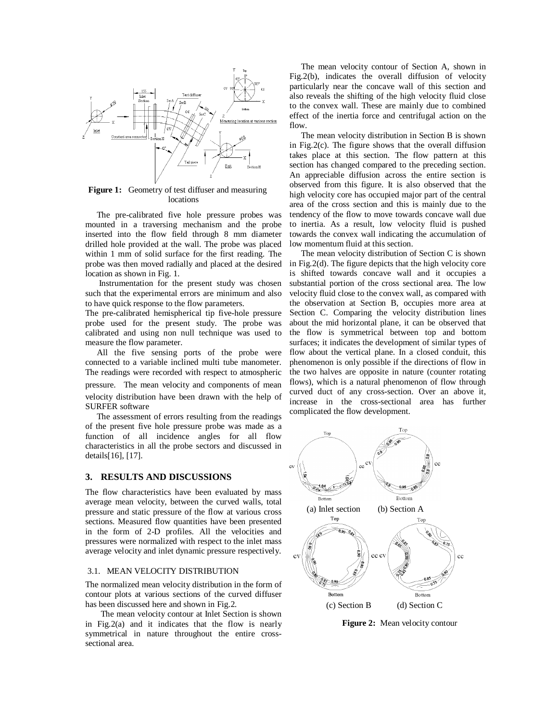

**Figure 1:** Geometry of test diffuser and measuring locations

The pre-calibrated five hole pressure probes was mounted in a traversing mechanism and the probe inserted into the flow field through 8 mm diameter drilled hole provided at the wall. The probe was placed within 1 mm of solid surface for the first reading. The probe was then moved radially and placed at the desired location as shown in Fig. 1.

Instrumentation for the present study was chosen such that the experimental errors are minimum and also to have quick response to the flow parameters.

The pre-calibrated hemispherical tip five-hole pressure probe used for the present study. The probe was calibrated and using non null technique was used to measure the flow parameter.

All the five sensing ports of the probe were connected to a variable inclined multi tube manometer. The readings were recorded with respect to atmospheric pressure. The mean velocity and components of mean velocity distribution have been drawn with the help of SURFER software

The assessment of errors resulting from the readings of the present five hole pressure probe was made as a function of all incidence angles for all flow characteristics in all the probe sectors and discussed in details[16], [17].

# **3. RESULTS AND DISCUSSIONS**

The flow characteristics have been evaluated by mass average mean velocity, between the curved walls, total pressure and static pressure of the flow at various cross sections. Measured flow quantities have been presented in the form of 2-D profiles. All the velocities and pressures were normalized with respect to the inlet mass average velocity and inlet dynamic pressure respectively.

#### 3.1. MEAN VELOCITY DISTRIBUTION

The normalized mean velocity distribution in the form of contour plots at various sections of the curved diffuser has been discussed here and shown in Fig.2.

The mean velocity contour at Inlet Section is shown in Fig.2(a) and it indicates that the flow is nearly symmetrical in nature throughout the entire crosssectional area.

The mean velocity contour of Section A, shown in Fig.2(b), indicates the overall diffusion of velocity particularly near the concave wall of this section and also reveals the shifting of the high velocity fluid close to the convex wall. These are mainly due to combined effect of the inertia force and centrifugal action on the flow.

The mean velocity distribution in Section B is shown in Fig.2(c). The figure shows that the overall diffusion takes place at this section. The flow pattern at this section has changed compared to the preceding section. An appreciable diffusion across the entire section is observed from this figure. It is also observed that the high velocity core has occupied major part of the central area of the cross section and this is mainly due to the tendency of the flow to move towards concave wall due to inertia. As a result, low velocity fluid is pushed towards the convex wall indicating the accumulation of low momentum fluid at this section.

The mean velocity distribution of Section C is shown in Fig.2(d). The figure depicts that the high velocity core is shifted towards concave wall and it occupies a substantial portion of the cross sectional area. The low velocity fluid close to the convex wall, as compared with the observation at Section B, occupies more area at Section C. Comparing the velocity distribution lines about the mid horizontal plane, it can be observed that the flow is symmetrical between top and bottom surfaces; it indicates the development of similar types of flow about the vertical plane. In a closed conduit, this phenomenon is only possible if the directions of flow in the two halves are opposite in nature (counter rotating flows), which is a natural phenomenon of flow through curved duct of any cross-section. Over an above it, increase in the cross-sectional area has further complicated the flow development.



 **Figure 2:** Mean velocity contour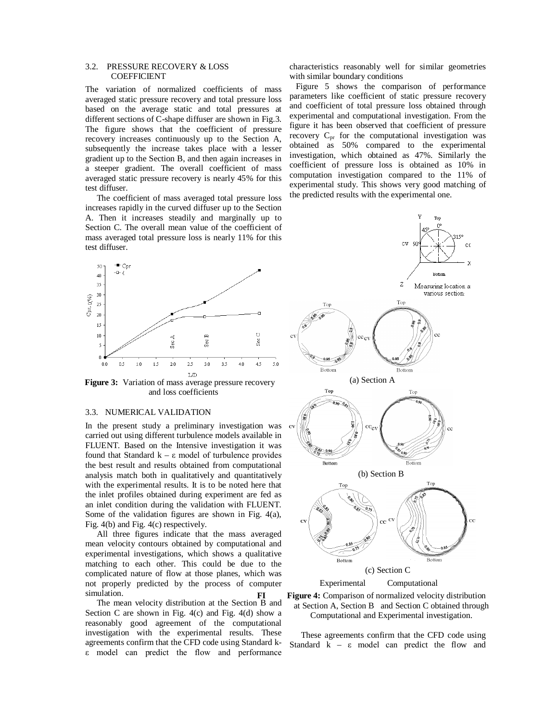# 3.2. PRESSURE RECOVERY & LOSS COEFFICIENT

The variation of normalized coefficients of mass averaged static pressure recovery and total pressure loss based on the average static and total pressures at different sections of C-shape diffuser are shown in Fig.3. The figure shows that the coefficient of pressure recovery increases continuously up to the Section A, subsequently the increase takes place with a lesser gradient up to the Section B, and then again increases in a steeper gradient. The overall coefficient of mass averaged static pressure recovery is nearly 45% for this test diffuser.

The coefficient of mass averaged total pressure loss increases rapidly in the curved diffuser up to the Section A. Then it increases steadily and marginally up to Section C. The overall mean value of the coefficient of mass averaged total pressure loss is nearly 11% for this test diffuser.



 **Figure 3:** Variation of mass average pressure recovery and loss coefficients

# 3.3. NUMERICAL VALIDATION

In the present study a preliminary investigation was carried out using different turbulence models available in FLUENT. Based on the Intensive investigation it was found that Standard k – ε model of turbulence provides the best result and results obtained from computational analysis match both in qualitatively and quantitatively with the experimental results. It is to be noted here that the inlet profiles obtained during experiment are fed as an inlet condition during the validation with FLUENT. Some of the validation figures are shown in Fig. 4(a), Fig. 4(b) and Fig. 4(c) respectively.

All three figures indicate that the mass averaged mean velocity contours obtained by computational and experimental investigations, which shows a qualitative matching to each other. This could be due to the complicated nature of flow at those planes, which was not properly predicted by the process of computer simulation.

The mean velocity distribution at the Section B and Section C are shown in Fig. 4(c) and Fig. 4(d) show a reasonably good agreement of the computational investigation with the experimental results. These agreements confirm that the CFD code using Standard kε model can predict the flow and performance characteristics reasonably well for similar geometries with similar boundary conditions

 Figure 5 shows the comparison of performance parameters like coefficient of static pressure recovery and coefficient of total pressure loss obtained through experimental and computational investigation. From the figure it has been observed that coefficient of pressure recovery  $C_{pr}$  for the computational investigation was obtained as 50% compared to the experimental investigation, which obtained as 47%. Similarly the coefficient of pressure loss is obtained as 10% in computation investigation compared to the 11% of experimental study. This shows very good matching of the predicted results with the experimental one.







These agreements confirm that the CFD code using Standard  $k - \varepsilon$  model can predict the flow and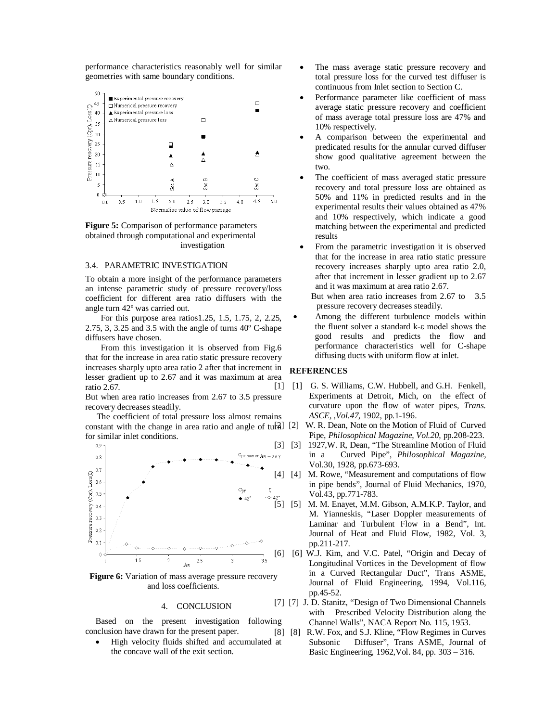performance characteristics reasonably well for similar geometries with same boundary conditions.



**Figure 5:** Comparison of performance parameters obtained through computational and experimental investigation

### 3.4. PARAMETRIC INVESTIGATION

To obtain a more insight of the performance parameters an intense parametric study of pressure recovery/loss coefficient for different area ratio diffusers with the angle turn 42º was carried out.

For this purpose area ratios1.25, 1.5, 1.75, 2, 2.25, 2.75, 3, 3.25 and 3.5 with the angle of turns 40º C-shape diffusers have chosen.

From this investigation it is observed from Fig.6 that for the increase in area ratio static pressure recovery increases sharply upto area ratio 2 after that increment in lesser gradient up to 2.67 and it was maximum at area ratio 2.67.

But when area ratio increases from 2.67 to 3.5 pressure recovery decreases steadily.

The coefficient of total pressure loss almost remains constant with the change in area ratio and angle of  $tufA$ ] [2] for similar inlet conditions.



**Figure 6:** Variation of mass average pressure recovery and loss coefficients.

#### 4. CONCLUSION

Based on the present investigation following conclusion have drawn for the present paper.

 High velocity fluids shifted and accumulated at the concave wall of the exit section.

- The mass average static pressure recovery and total pressure loss for the curved test diffuser is continuous from Inlet section to Section C.
- Performance parameter like coefficient of mass average static pressure recovery and coefficient of mass average total pressure loss are 47% and 10% respectively.
- A comparison between the experimental and predicated results for the annular curved diffuser show good qualitative agreement between the two.
- The coefficient of mass averaged static pressure recovery and total pressure loss are obtained as 50% and 11% in predicted results and in the experimental results their values obtained as 47% and 10% respectively, which indicate a good matching between the experimental and predicted results
- From the parametric investigation it is observed that for the increase in area ratio static pressure recovery increases sharply upto area ratio 2.0, after that increment in lesser gradient up to 2.67 and it was maximum at area ratio 2.67.

 But when area ratio increases from 2.67 to 3.5 pressure recovery decreases steadily.

 Among the different turbulence models within the fluent solver a standard k-ε model shows the good results and predicts the flow and performance characteristics well for C-shape diffusing ducts with uniform flow at inlet.

# **REFERENCES**

- [1] [1] G. S. Williams, C.W. Hubbell, and G.H. Fenkell, Experiments at Detroit, Mich, on the effect of curvature upon the flow of water pipes, *Trans. ASCE,* ,*Vol.47*, 1902, pp.1-196.
	- W. R. Dean, Note on the Motion of Fluid of Curved Pipe, *Philosophical Magazine*, *Vol.20*, pp.208-223.
- [3] [3] 1927, W. R, Dean, "The Streamline Motion of Fluid" in a Curved Pipe", *Philosophical Magazine*, Vol.30, 1928, pp.673-693.
- [4] [4] M. Rowe, "Measurement and computations of flow in pipe bends", Journal of Fluid Mechanics, 1970, Vol.43, pp.771-783.
- $^{42^\circ}_{42^\circ}$  [5] M. M. Enayet, M.M. Gibson, A.M.K.P. Taylor, and M. Yianneskis, "Laser Doppler measurements of Laminar and Turbulent Flow in a Bend", Int. Journal of Heat and Fluid Flow, 1982, Vol. 3, pp.211-217.
- [6] [6] W.J. Kim, and V.C. Patel, "Origin and Decay of Longitudinal Vortices in the Development of flow in a Curved Rectangular Duct", Trans ASME, Journal of Fluid Engineering, 1994, Vol.116, pp.45-52.
- [7] [7] J. D. Stanitz, "Design of Two Dimensional Channels with Prescribed Velocity Distribution along the Channel Walls", NACA Report No. 115, 1953.
- [8] [8] R.W. Fox, and S.J. Kline, "Flow Regimes in Curves Subsonic Diffuser", Trans ASME, Journal of Basic Engineering, 1962,Vol. 84, pp. 303 – 316.